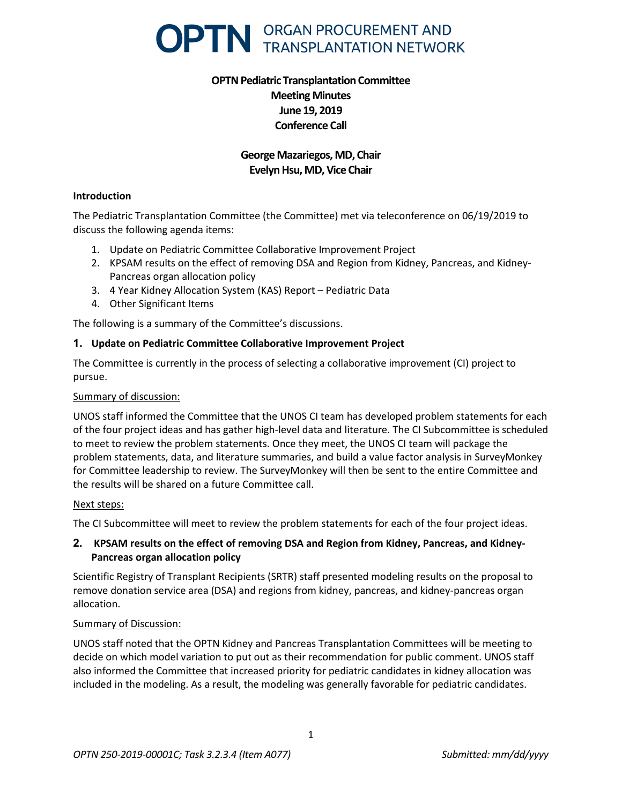

# **OPTN Pediatric Transplantation Committee Meeting Minutes June 19, 2019 Conference Call**

## **George Mazariegos, MD, Chair Evelyn Hsu, MD, Vice Chair**

#### **Introduction**

The Pediatric Transplantation Committee (the Committee) met via teleconference on 06/19/2019 to discuss the following agenda items:

- 1. Update on Pediatric Committee Collaborative Improvement Project
- 2. KPSAM results on the effect of removing DSA and Region from Kidney, Pancreas, and Kidney-Pancreas organ allocation policy
- 3. 4 Year Kidney Allocation System (KAS) Report Pediatric Data
- 4. Other Significant Items

The following is a summary of the Committee's discussions.

#### **1. Update on Pediatric Committee Collaborative Improvement Project**

The Committee is currently in the process of selecting a collaborative improvement (CI) project to pursue.

### Summary of discussion:

UNOS staff informed the Committee that the UNOS CI team has developed problem statements for each of the four project ideas and has gather high-level data and literature. The CI Subcommittee is scheduled to meet to review the problem statements. Once they meet, the UNOS CI team will package the problem statements, data, and literature summaries, and build a value factor analysis in SurveyMonkey for Committee leadership to review. The SurveyMonkey will then be sent to the entire Committee and the results will be shared on a future Committee call.

#### Next steps:

The CI Subcommittee will meet to review the problem statements for each of the four project ideas.

## **2. KPSAM results on the effect of removing DSA and Region from Kidney, Pancreas, and Kidney-Pancreas organ allocation policy**

Scientific Registry of Transplant Recipients (SRTR) staff presented modeling results on the proposal to remove donation service area (DSA) and regions from kidney, pancreas, and kidney-pancreas organ allocation.

#### Summary of Discussion:

UNOS staff noted that the OPTN Kidney and Pancreas Transplantation Committees will be meeting to decide on which model variation to put out as their recommendation for public comment. UNOS staff also informed the Committee that increased priority for pediatric candidates in kidney allocation was included in the modeling. As a result, the modeling was generally favorable for pediatric candidates.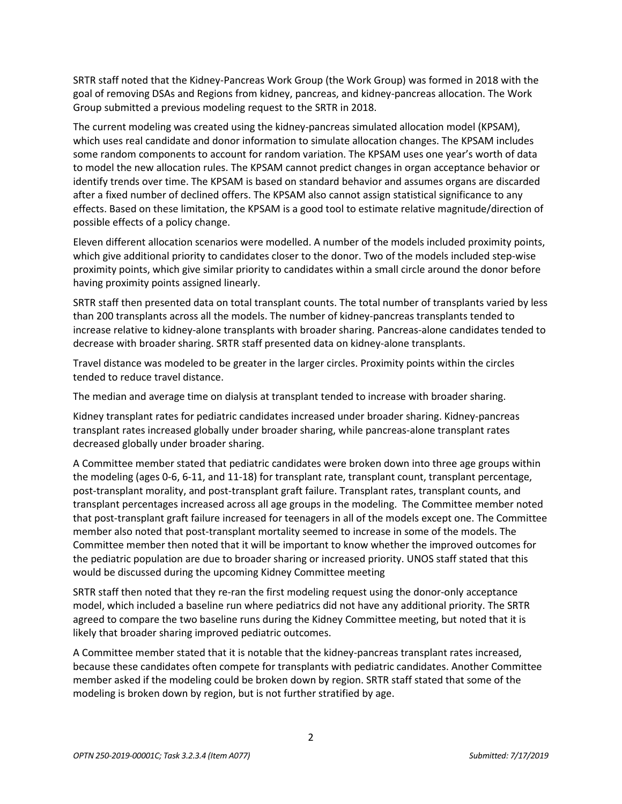SRTR staff noted that the Kidney-Pancreas Work Group (the Work Group) was formed in 2018 with the goal of removing DSAs and Regions from kidney, pancreas, and kidney-pancreas allocation. The Work Group submitted a previous modeling request to the SRTR in 2018.

The current modeling was created using the kidney-pancreas simulated allocation model (KPSAM), which uses real candidate and donor information to simulate allocation changes. The KPSAM includes some random components to account for random variation. The KPSAM uses one year's worth of data to model the new allocation rules. The KPSAM cannot predict changes in organ acceptance behavior or identify trends over time. The KPSAM is based on standard behavior and assumes organs are discarded after a fixed number of declined offers. The KPSAM also cannot assign statistical significance to any effects. Based on these limitation, the KPSAM is a good tool to estimate relative magnitude/direction of possible effects of a policy change.

Eleven different allocation scenarios were modelled. A number of the models included proximity points, which give additional priority to candidates closer to the donor. Two of the models included step-wise proximity points, which give similar priority to candidates within a small circle around the donor before having proximity points assigned linearly.

SRTR staff then presented data on total transplant counts. The total number of transplants varied by less than 200 transplants across all the models. The number of kidney-pancreas transplants tended to increase relative to kidney-alone transplants with broader sharing. Pancreas-alone candidates tended to decrease with broader sharing. SRTR staff presented data on kidney-alone transplants.

Travel distance was modeled to be greater in the larger circles. Proximity points within the circles tended to reduce travel distance.

The median and average time on dialysis at transplant tended to increase with broader sharing.

Kidney transplant rates for pediatric candidates increased under broader sharing. Kidney-pancreas transplant rates increased globally under broader sharing, while pancreas-alone transplant rates decreased globally under broader sharing.

A Committee member stated that pediatric candidates were broken down into three age groups within the modeling (ages 0-6, 6-11, and 11-18) for transplant rate, transplant count, transplant percentage, post-transplant morality, and post-transplant graft failure. Transplant rates, transplant counts, and transplant percentages increased across all age groups in the modeling. The Committee member noted that post-transplant graft failure increased for teenagers in all of the models except one. The Committee member also noted that post-transplant mortality seemed to increase in some of the models. The Committee member then noted that it will be important to know whether the improved outcomes for the pediatric population are due to broader sharing or increased priority. UNOS staff stated that this would be discussed during the upcoming Kidney Committee meeting

SRTR staff then noted that they re-ran the first modeling request using the donor-only acceptance model, which included a baseline run where pediatrics did not have any additional priority. The SRTR agreed to compare the two baseline runs during the Kidney Committee meeting, but noted that it is likely that broader sharing improved pediatric outcomes.

A Committee member stated that it is notable that the kidney-pancreas transplant rates increased, because these candidates often compete for transplants with pediatric candidates. Another Committee member asked if the modeling could be broken down by region. SRTR staff stated that some of the modeling is broken down by region, but is not further stratified by age.